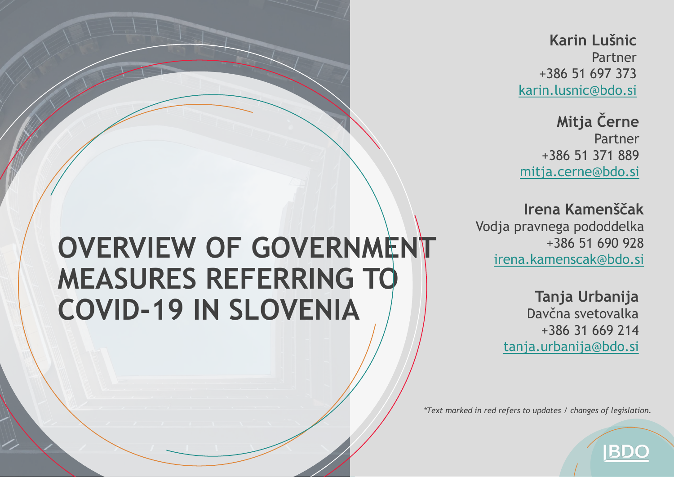**Karin Lušnic** Partner +386 51 697 373 [karin.lusnic@bdo.si](mailto:karin.lusnic@bdo.si)

**Mitja Černe** Partner +386 51 371 889 [mitja.cerne@bdo.si](mailto:mitja.cerne@bdo.si)

**Irena Kamenščak** Vodja pravnega pododdelka +386 51 690 928 irena.kamenscak[@bdo.si](mailto:karin.lusnic@bdo.si)

> **Tanja Urbanija** Davčna svetovalka +386 31 669 214 tanja.urbanija[@bdo.si](mailto:mitja.cerne@bdo.si)

> > **IBDC**

*\*Text marked in red refers to updates / changes of legislation.* 

# **OVERVIEW OF GOVERNMENT MEASURES REFERRING TO COVID-19 IN SLOVENIA**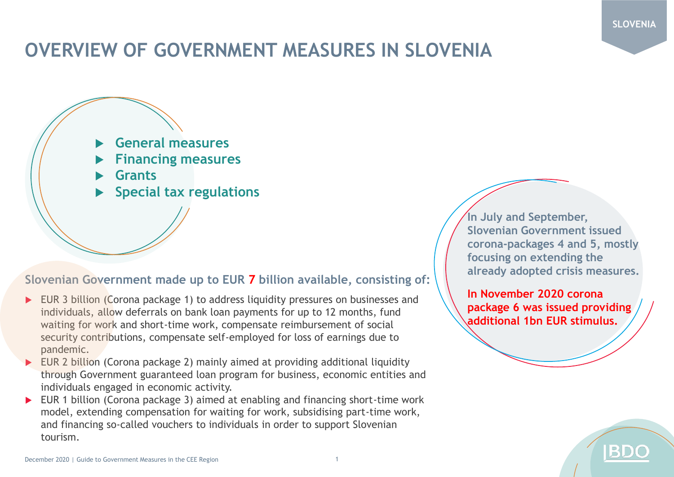#### **SLOVENIA**

### **OVERVIEW OF GOVERNMENT MEASURES IN SLOVENIA**



#### **Slovenian Government made up to EUR 7 billion available, consisting of:**

- EUR 3 billion (Corona package 1) to address liquidity pressures on businesses and individuals, allow deferrals on bank loan payments for up to 12 months, fund waiting for work and short-time work, compensate reimbursement of social security contributions, compensate self-employed for loss of earnings due to pandemic.
- EUR 2 billion (Corona package 2) mainly aimed at providing additional liquidity through Government guaranteed loan program for business, economic entities and individuals engaged in economic activity.
- ▶ EUR 1 billion (Corona package 3) aimed at enabling and financing short-time work model, extending compensation for waiting for work, subsidising part-time work, and financing so-called vouchers to individuals in order to support Slovenian tourism.

**In July and September, Slovenian Government issued corona-packages 4 and 5, mostly focusing on extending the already adopted crisis measures.**

**In November 2020 corona package 6 was issued providing additional 1bn EUR stimulus.**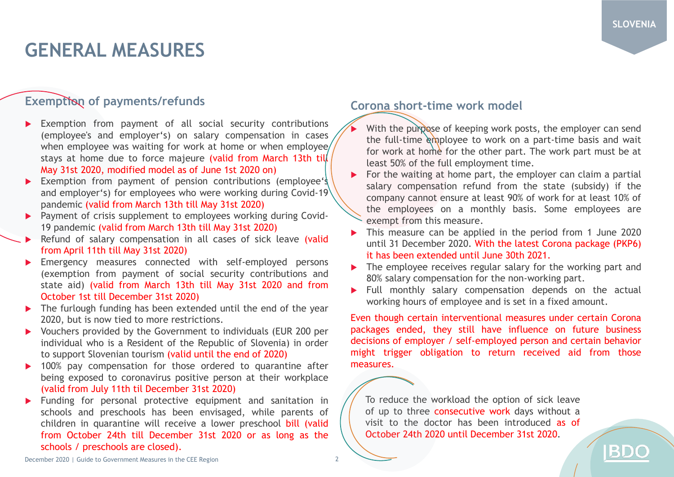IBD

### **GENERAL MEASURES**

### **Exemption of payments/refunds**

- Exemption from payment of all social security contributions (employee's and employer's) on salary compensation in cases when employee was waiting for work at home or when employee/ stays at home due to force majeure (valid from March 13th till May 31st 2020, modified model as of June 1st 2020 on)
- Exemption from payment of pension contributions (employee's and employer's) for employees who were working during Covid-19 pandemic (valid from March 13th till May 31st 2020)
- **Payment of crisis supplement to employees working during Covid-**19 pandemic (valid from March 13th till May 31st 2020)
- Refund of salary compensation in all cases of sick leave (valid from April 11th till May 31st 2020)
- Emergency measures connected with self-employed persons (exemption from payment of social security contributions and state aid) (valid from March 13th till May 31st 2020 and from October 1st till December 31st 2020)
- The furlough funding has been extended until the end of the year 2020, but is now tied to more restrictions.
- Vouchers provided by the Government to individuals (EUR 200 per individual who is a Resident of the Republic of Slovenia) in order to support Slovenian tourism (valid until the end of 2020)
- ▶ 100% pay compensation for those ordered to quarantine after being exposed to coronavirus positive person at their workplace (valid from July 11th til December 31st 2020)
- **Funding for personal protective equipment and sanitation in** schools and preschools has been envisaged, while parents of children in quarantine will receive a lower preschool bill (valid from October 24th till December 31st 2020 or as long as the schools / preschools are closed).

#### **Corona short-time work model**

- With the purpose of keeping work posts, the employer can send the full-time employee to work on a part-time basis and wait for work at home for the other part. The work part must be at least 50% of the full employment time.
- $\triangleright$  For the waiting at home part, the employer can claim a partial salary compensation refund from the state (subsidy) if the company cannot ensure at least 90% of work for at least 10% of the employees on a monthly basis. Some employees are exempt from this measure.
- This measure can be applied in the period from 1 June 2020 until 31 December 2020. With the latest Corona package (PKP6) it has been extended until June 30th 2021.
- The employee receives regular salary for the working part and 80% salary compensation for the non-working part.
- $\blacktriangleright$  Full monthly salary compensation depends on the actual working hours of employee and is set in a fixed amount.

Even though certain interventional measures under certain Corona packages ended, they still have influence on future business decisions of employer / self-employed person and certain behavior might trigger obligation to return received aid from those measures.

To reduce the workload the option of sick leave of up to three consecutive work days without a visit to the doctor has been introduced as of October 24th 2020 until December 31st 2020.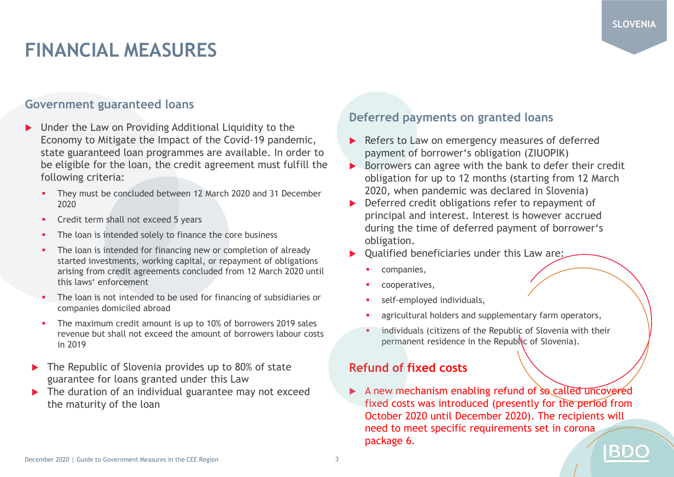## **FINANCIAL MEASURES**

#### **Government guaranteed loans**

- ▶ Under the Law on Providing Additional Liquidity to the Economy to Mitigate the Impact of the Covid-19 pandemic, state guaranteed loan programmes are available. In order to be eligible for the loan, the credit agreement must fulfill the following criteria:
	- They must be concluded between 12 March 2020 and 31 December 2020
	- Credit term shall not exceed 5 years
	- The loan is intended solely to finance the core business
	- The loan is intended for financing new or completion of already started investments, working capital, or repayment of obligations arising from credit agreements concluded from 12 March 2020 until this laws' enforcement
	- The loan is not intended to be used for financing of subsidiaries or companies domiciled abroad
	- **•** The maximum credit amount is up to 10% of borrowers 2019 sales revenue but shall not exceed the amount of borrowers labour costs in 2019
- ▶ The Republic of Slovenia provides up to 80% of state guarantee for loans granted under this Law
- The duration of an individual guarantee may not exceed the maturity of the loan

### **Deferred payments on granted loans**

- Refers to Law on emergency measures of deferred payment of borrower's obligation (ZIUOPIK)
- $\triangleright$  Borrowers can agree with the bank to defer their credit obligation for up to 12 months (starting from 12 March 2020, when pandemic was declared in Slovenia)
- Deferred credit obligations refer to repayment of principal and interest. Interest is however accrued during the time of deferred payment of borrower's obligation.
- Qualified beneficiaries under this Law are:
	- companies,
	- cooperatives,
	- self-employed individuals,
	- agricultural holders and supplementary farm operators,
	- individuals (citizens of the Republic of Slovenia with their permanent residence in the Republic of Slovenia).

### **Refund of fixed costs**

 $\triangleright$  A new mechanism enabling refund of so called uncovered fixed costs was introduced (presently for the period from October 2020 until December 2020). The recipients will need to meet specific requirements set in corona package 6. BD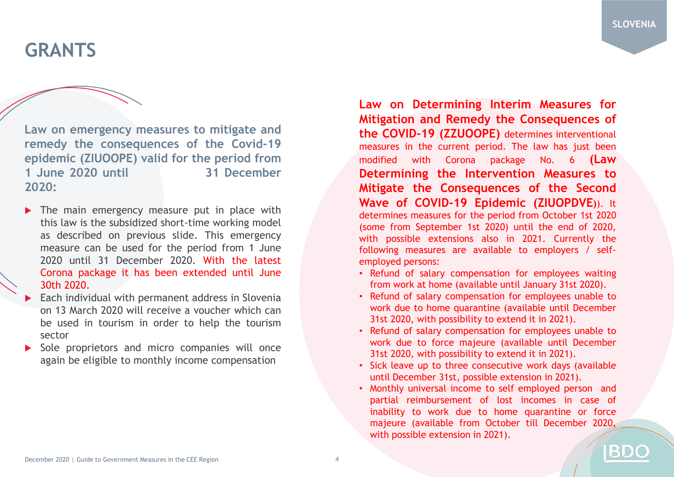BD

### **GRANTS**

**Law on emergency measures to mitigate and remedy the consequences of the Covid-19 epidemic (ZIUOOPE) valid for the period from 1 June 2020 until 31 December 2020:**

- $\triangleright$  The main emergency measure put in place with this law is the subsidized short-time working model as described on previous slide. This emergency measure can be used for the period from 1 June 2020 until 31 December 2020. With the latest Corona package it has been extended until June 30th 2020.
- Each individual with permanent address in Slovenia on 13 March 2020 will receive a voucher which can be used in tourism in order to help the tourism sector
- Sole proprietors and micro companies will once again be eligible to monthly income compensation

**Law on Determining Interim Measures for Mitigation and Remedy the Consequences of the COVID-19 (ZZUOOPE)** determines interventional measures in the current period. The law has just been modified with Corona package No. 6 **(Law Determining the Intervention Measures to Mitigate the Consequences of the Second Wave of COVID-19 Epidemic (ZIUOPDVE)**). It determines measures for the period from October 1st 2020 (some from September 1st 2020) until the end of 2020, with possible extensions also in 2021. Currently the following measures are available to employers / selfemployed persons:

- Refund of salary compensation for employees waiting from work at home (available until January 31st 2020).
- Refund of salary compensation for employees unable to work due to home quarantine (available until December 31st 2020, with possibility to extend it in 2021).
- Refund of salary compensation for employees unable to work due to force majeure (available until December 31st 2020, with possibility to extend it in 2021).
- Sick leave up to three consecutive work days (available until December 31st, possible extension in 2021).
- Monthly universal income to self employed person and partial reimbursement of lost incomes in case of inability to work due to home quarantine or force majeure (available from October till December 2020, with possible extension in 2021).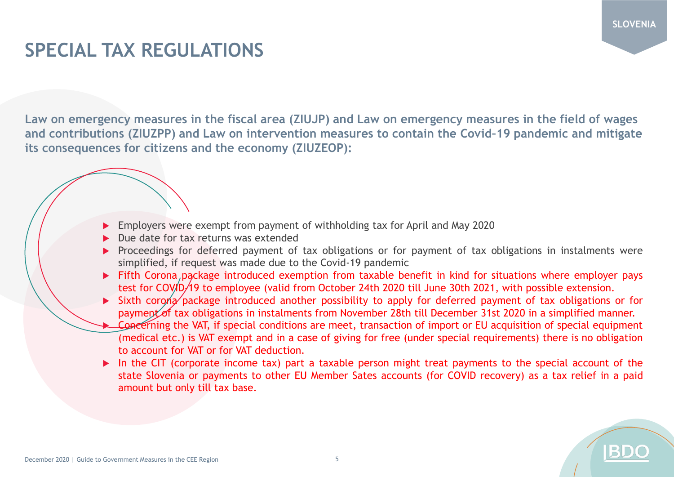### **SPECIAL TAX REGULATIONS**

**Law on emergency measures in the fiscal area (ZIUJP) and Law on emergency measures in the field of wages and contributions (ZIUZPP) and Law on intervention measures to contain the Covid–19 pandemic and mitigate its consequences for citizens and the economy (ZIUZEOP):** 

- Employers were exempt from payment of withholding tax for April and May 2020
- Due date for tax returns was extended
- Proceedings for deferred payment of tax obligations or for payment of tax obligations in instalments were simplified, if request was made due to the Covid-19 pandemic
- Fifth Corona package introduced exemption from taxable benefit in kind for situations where employer pays test for COVID-19 to employee (valid from October 24th 2020 till June 30th 2021, with possible extension.
- Sixth corona package introduced another possibility to apply for deferred payment of tax obligations or for payment of tax obligations in instalments from November 28th till December 31st 2020 in a simplified manner.
- Concerning the VAT, if special conditions are meet, transaction of import or EU acquisition of special equipment (medical etc.) is VAT exempt and in a case of giving for free (under special requirements) there is no obligation to account for VAT or for VAT deduction.
- In the CIT (corporate income tax) part a taxable person might treat payments to the special account of the state Slovenia or payments to other EU Member Sates accounts (for COVID recovery) as a tax relief in a paid amount but only till tax base.